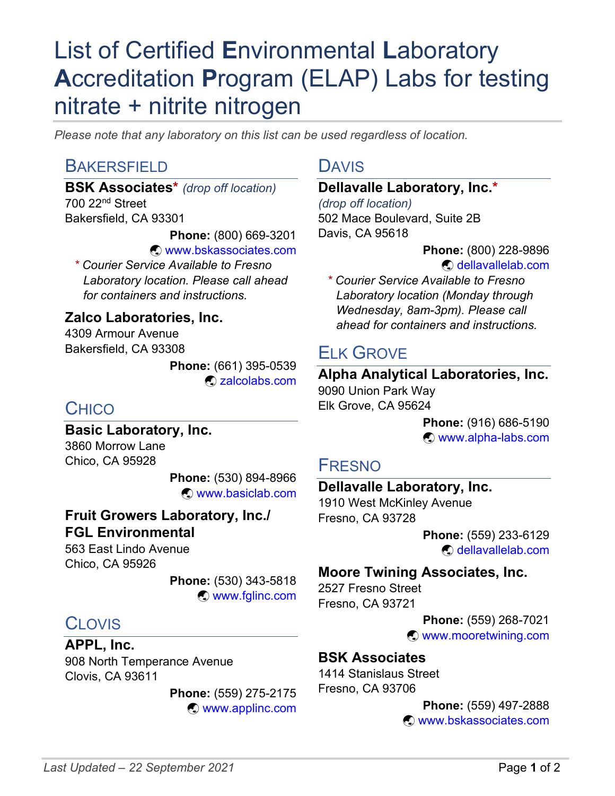# List of Certified **E**nvironmental **L**aboratory **A**ccreditation **P**rogram (ELAP) Labs for testing nitrate + nitrite nitrogen

*Please note that any laboratory on this list can be used regardless of location.*

### **BAKERSFIELD**

**BSK Associates\*** *(drop off location)* 700 22nd Street Bakersfield, CA 93301

**Phone:** (800) 669-3201

 $\odot$  [www.bskassociates.com](http://www.bskassociates.com/)

*\* Courier Service Available to Fresno Laboratory location. Please call ahead for containers and instructions.*

#### **Zalco Laboratories, Inc.**

4309 Armour Avenue Bakersfield, CA 93308

> **Phone:** (661) 395-0539 ý [zalcolabs.com](https://zalcolabs.com/)

# **CHICO**

**Basic Laboratory, Inc.** 3860 Morrow Lane Chico, CA 95928

> **Phone:** (530) 894-8966 ý [www.basiclab.com](http://www.basiclab.com/)

#### **Fruit Growers Laboratory, Inc./ FGL Environmental**

563 East Lindo Avenue Chico, CA 95926

> **Phone:** (530) 343-5818 ý [www.fglinc.com](http://www.fglinc.com/)

# CLOVIS

**APPL, Inc.** 908 North Temperance Avenue Clovis, CA 93611

> **Phone:** (559) 275-2175 ý [www.applinc.com](http://www.applinc.com/)

#### DAVIS

#### **Dellavalle Laboratory, Inc.\***

*(drop off location)* 502 Mace Boulevard, Suite 2B Davis, CA 95618

> **Phone:** (800) 228-9896 ý [dellavallelab.com](https://dellavallelab.com/)

*\* Courier Service Available to Fresno Laboratory location (Monday through Wednesday, 8am-3pm). Please call ahead for containers and instructions.*

### **FIK GROVE**

**Alpha Analytical Laboratories, Inc.**

9090 Union Park Way Elk Grove, CA 95624

> **Phone:** (916) 686-5190 ý [www.alpha-labs.com](http://www.alpha-labs.com/)

#### FRESNO

#### **Dellavalle Laboratory, Inc.**

1910 West McKinley Avenue Fresno, CA 93728

> **Phone:** (559) 233-6129 ý [dellavallelab.com](https://dellavallelab.com/)

#### **Moore Twining Associates, Inc.**

2527 Fresno Street Fresno, CA 93721

> **Phone:** (559) 268-7021 ý [www.mooretwining.com](http://www.mooretwining.com/)

#### **BSK Associates**

1414 Stanislaus Street Fresno, CA 93706

> **Phone:** (559) 497-2888 ý [www.bskassociates.com](http://www.bskassociates.com/)